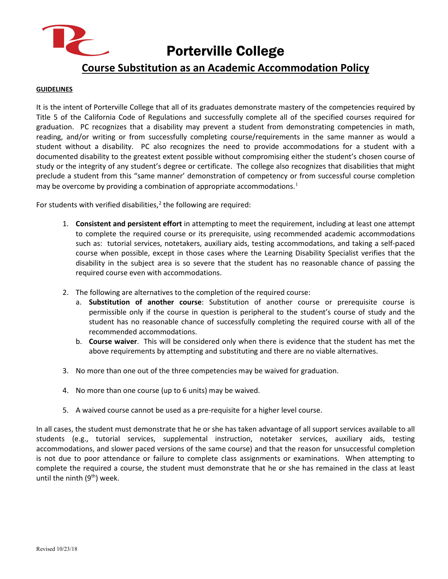

Porterville College

## **Course Substitution as an Academic Accommodation Policy**

## **GUIDELINES**

It is the intent of Porterville College that all of its graduates demonstrate mastery of the competencies required by Title 5 of the California Code of Regulations and successfully complete all of the specified courses required for graduation. PC recognizes that a disability may prevent a student from demonstrating competencies in math, reading, and/or writing or from successfully completing course/requirements in the same manner as would a student without a disability. PC also recognizes the need to provide accommodations for a student with a documented disability to the greatest extent possible without compromising either the student's chosen course of study or the integrity of any student's degree or certificate. The college also recognizes that disabilities that might preclude a student from this "same manner' demonstration of competency or from successful course completion may be overcome by providing a combination of appropriate accommodations.<sup>[1](#page-1-0)</sup>

For students with verified disabilities, $2$  the following are required:

- 1. **Consistent and persistent effort** in attempting to meet the requirement, including at least one attempt to complete the required course or its prerequisite, using recommended academic accommodations such as: tutorial services, notetakers, auxiliary aids, testing accommodations, and taking a self-paced course when possible, except in those cases where the Learning Disability Specialist verifies that the disability in the subject area is so severe that the student has no reasonable chance of passing the required course even with accommodations.
- 2. The following are alternatives to the completion of the required course:
	- a. **Substitution of another course**: Substitution of another course or prerequisite course is permissible only if the course in question is peripheral to the student's course of study and the student has no reasonable chance of successfully completing the required course with all of the recommended accommodations.
	- b. **Course waiver**. This will be considered only when there is evidence that the student has met the above requirements by attempting and substituting and there are no viable alternatives.
- 3. No more than one out of the three competencies may be waived for graduation.
- 4. No more than one course (up to 6 units) may be waived.
- 5. A waived course cannot be used as a pre-requisite for a higher level course.

In all cases, the student must demonstrate that he or she has taken advantage of all support services available to all students (e.g., tutorial services, supplemental instruction, notetaker services, auxiliary aids, testing accommodations, and slower paced versions of the same course) and that the reason for unsuccessful completion is not due to poor attendance or failure to complete class assignments or examinations. When attempting to complete the required a course, the student must demonstrate that he or she has remained in the class at least until the ninth  $(9<sup>th</sup>)$  week.